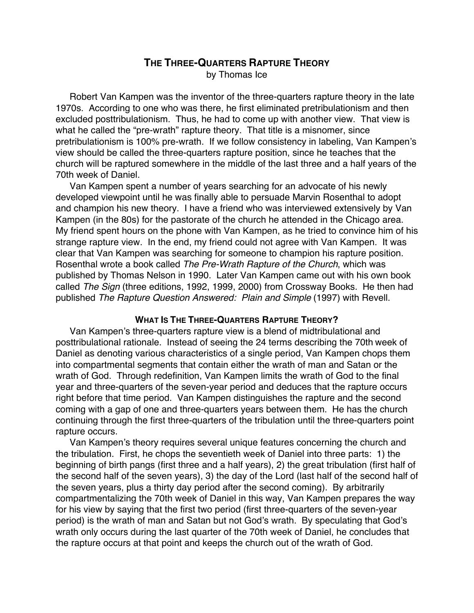# **THE THREE-QUARTERS RAPTURE THEORY** by Thomas Ice

Robert Van Kampen was the inventor of the three-quarters rapture theory in the late 1970s. According to one who was there, he first eliminated pretribulationism and then excluded posttribulationism. Thus, he had to come up with another view. That view is what he called the "pre-wrath" rapture theory. That title is a misnomer, since pretribulationism is 100% pre-wrath. If we follow consistency in labeling, Van Kampen's view should be called the three-quarters rapture position, since he teaches that the church will be raptured somewhere in the middle of the last three and a half years of the 70th week of Daniel.

Van Kampen spent a number of years searching for an advocate of his newly developed viewpoint until he was finally able to persuade Marvin Rosenthal to adopt and champion his new theory. I have a friend who was interviewed extensively by Van Kampen (in the 80s) for the pastorate of the church he attended in the Chicago area. My friend spent hours on the phone with Van Kampen, as he tried to convince him of his strange rapture view. In the end, my friend could not agree with Van Kampen. It was clear that Van Kampen was searching for someone to champion his rapture position. Rosenthal wrote a book called The Pre-Wrath Rapture of the Church, which was published by Thomas Nelson in 1990. Later Van Kampen came out with his own book called The Sign (three editions, 1992, 1999, 2000) from Crossway Books. He then had published The Rapture Question Answered: Plain and Simple (1997) with Revell.

#### **WHAT IS THE THREE-QUARTERS RAPTURE THEORY?**

Van Kampen's three-quarters rapture view is a blend of midtribulational and posttribulational rationale. Instead of seeing the 24 terms describing the 70th week of Daniel as denoting various characteristics of a single period, Van Kampen chops them into compartmental segments that contain either the wrath of man and Satan or the wrath of God. Through redefinition, Van Kampen limits the wrath of God to the final year and three-quarters of the seven-year period and deduces that the rapture occurs right before that time period. Van Kampen distinguishes the rapture and the second coming with a gap of one and three-quarters years between them. He has the church continuing through the first three-quarters of the tribulation until the three-quarters point rapture occurs.

Van Kampen's theory requires several unique features concerning the church and the tribulation. First, he chops the seventieth week of Daniel into three parts: 1) the beginning of birth pangs (first three and a half years), 2) the great tribulation (first half of the second half of the seven years), 3) the day of the Lord (last half of the second half of the seven years, plus a thirty day period after the second coming). By arbitrarily compartmentalizing the 70th week of Daniel in this way, Van Kampen prepares the way for his view by saying that the first two period (first three-quarters of the seven-year period) is the wrath of man and Satan but not God's wrath. By speculating that God's wrath only occurs during the last quarter of the 70th week of Daniel, he concludes that the rapture occurs at that point and keeps the church out of the wrath of God.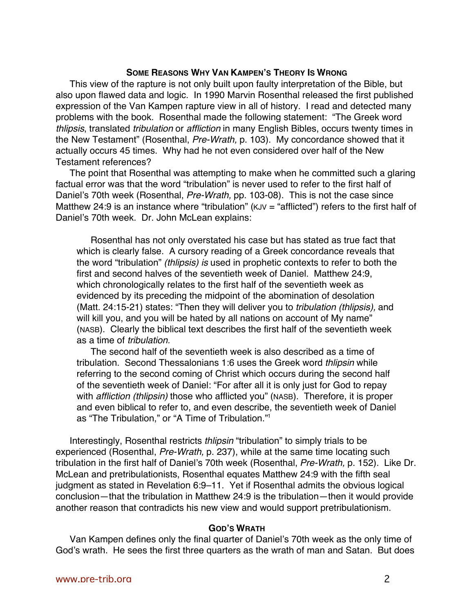## **SOME REASONS WHY VAN KAMPEN'S THEORY IS WRONG**

This view of the rapture is not only built upon faulty interpretation of the Bible, but also upon flawed data and logic. In 1990 Marvin Rosenthal released the first published expression of the Van Kampen rapture view in all of history. I read and detected many problems with the book. Rosenthal made the following statement: "The Greek word thlipsis, translated tribulation or affliction in many English Bibles, occurs twenty times in the New Testament" (Rosenthal, Pre-Wrath, p. 103). My concordance showed that it actually occurs 45 times. Why had he not even considered over half of the New Testament references?

The point that Rosenthal was attempting to make when he committed such a glaring factual error was that the word "tribulation" is never used to refer to the first half of Daniel's 70th week (Rosenthal, Pre-Wrath, pp. 103-08). This is not the case since Matthew 24:9 is an instance where "tribulation" ( $KJV =$  "afflicted") refers to the first half of Daniel's 70th week. Dr. John McLean explains:

Rosenthal has not only overstated his case but has stated as true fact that which is clearly false. A cursory reading of a Greek concordance reveals that the word "tribulation" (thlipsis) is used in prophetic contexts to refer to both the first and second halves of the seventieth week of Daniel. Matthew 24:9, which chronologically relates to the first half of the seventieth week as evidenced by its preceding the midpoint of the abomination of desolation (Matt. 24:15-21) states: "Then they will deliver you to tribulation (thlipsis), and will kill you, and you will be hated by all nations on account of My name" (NASB). Clearly the biblical text describes the first half of the seventieth week as a time of tribulation.

The second half of the seventieth week is also described as a time of tribulation. Second Thessalonians 1:6 uses the Greek word thlipsin while referring to the second coming of Christ which occurs during the second half of the seventieth week of Daniel: "For after all it is only just for God to repay with *affliction (thlipsin)* those who afflicted you" (NASB). Therefore, it is proper and even biblical to refer to, and even describe, the seventieth week of Daniel as "The Tribulation," or "A Time of Tribulation."1

Interestingly, Rosenthal restricts thlipsin "tribulation" to simply trials to be experienced (Rosenthal, Pre-Wrath, p. 237), while at the same time locating such tribulation in the first half of Daniel's 70th week (Rosenthal, Pre-Wrath, p. 152). Like Dr. McLean and pretribulationists, Rosenthal equates Matthew 24:9 with the fifth seal judgment as stated in Revelation 6:9–11. Yet if Rosenthal admits the obvious logical conclusion—that the tribulation in Matthew 24:9 is the tribulation—then it would provide another reason that contradicts his new view and would support pretribulationism.

## **GOD'S WRATH**

Van Kampen defines only the final quarter of Daniel's 70th week as the only time of God's wrath. He sees the first three quarters as the wrath of man and Satan. But does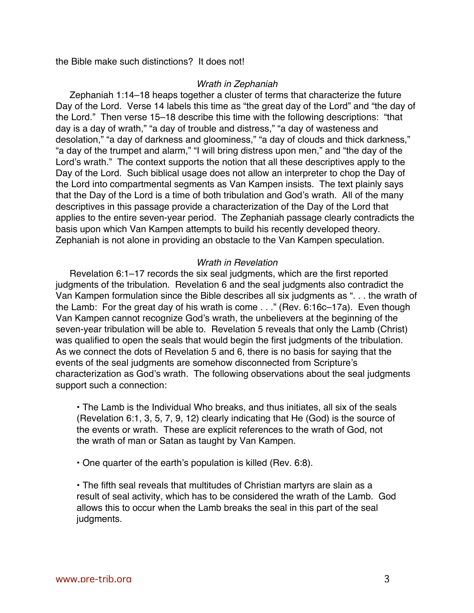the Bible make such distinctions? It does not!

#### Wrath in Zephaniah

Zephaniah 1:14–18 heaps together a cluster of terms that characterize the future Day of the Lord. Verse 14 labels this time as "the great day of the Lord" and "the day of the Lord." Then verse 15–18 describe this time with the following descriptions: "that day is a day of wrath," "a day of trouble and distress," "a day of wasteness and desolation," "a day of darkness and gloominess," "a day of clouds and thick darkness," "a day of the trumpet and alarm," "I will bring distress upon men," and "the day of the Lord's wrath." The context supports the notion that all these descriptives apply to the Day of the Lord. Such biblical usage does not allow an interpreter to chop the Day of the Lord into compartmental segments as Van Kampen insists. The text plainly says that the Day of the Lord is a time of both tribulation and God's wrath. All of the many descriptives in this passage provide a characterization of the Day of the Lord that applies to the entire seven-year period. The Zephaniah passage clearly contradicts the basis upon which Van Kampen attempts to build his recently developed theory. Zephaniah is not alone in providing an obstacle to the Van Kampen speculation.

### Wrath in Revelation

Revelation 6:1–17 records the six seal judgments, which are the first reported judgments of the tribulation. Revelation 6 and the seal judgments also contradict the Van Kampen formulation since the Bible describes all six judgments as ". . . the wrath of the Lamb: For the great day of his wrath is come . . ." (Rev. 6:16c–17a). Even though Van Kampen cannot recognize God's wrath, the unbelievers at the beginning of the seven-year tribulation will be able to. Revelation 5 reveals that only the Lamb (Christ) was qualified to open the seals that would begin the first judgments of the tribulation. As we connect the dots of Revelation 5 and 6, there is no basis for saying that the events of the seal judgments are somehow disconnected from Scripture's characterization as God's wrath. The following observations about the seal judgments support such a connection:

• The Lamb is the Individual Who breaks, and thus initiates, all six of the seals (Revelation 6:1, 3, 5, 7, 9, 12) clearly indicating that He (God) is the source of the events or wrath. These are explicit references to the wrath of God, not the wrath of man or Satan as taught by Van Kampen.

• One quarter of the earth's population is killed (Rev. 6:8).

• The fifth seal reveals that multitudes of Christian martyrs are slain as a result of seal activity, which has to be considered the wrath of the Lamb. God allows this to occur when the Lamb breaks the seal in this part of the seal judgments.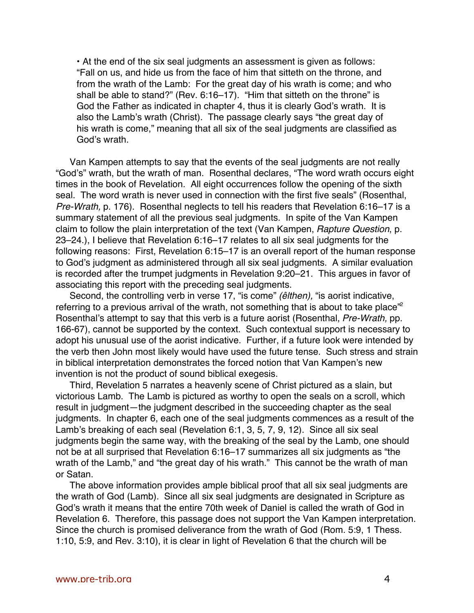• At the end of the six seal judgments an assessment is given as follows: "Fall on us, and hide us from the face of him that sitteth on the throne, and from the wrath of the Lamb: For the great day of his wrath is come; and who shall be able to stand?" (Rev. 6:16–17). "Him that sitteth on the throne" is God the Father as indicated in chapter 4, thus it is clearly God's wrath. It is also the Lamb's wrath (Christ). The passage clearly says "the great day of his wrath is come," meaning that all six of the seal judgments are classified as God's wrath.

Van Kampen attempts to say that the events of the seal judgments are not really "God's" wrath, but the wrath of man. Rosenthal declares, "The word wrath occurs eight times in the book of Revelation. All eight occurrences follow the opening of the sixth seal. The word wrath is never used in connection with the first five seals" (Rosenthal, Pre-Wrath, p. 176). Rosenthal neglects to tell his readers that Revelation 6:16-17 is a summary statement of all the previous seal judgments. In spite of the Van Kampen claim to follow the plain interpretation of the text (Van Kampen, Rapture Question, p. 23–24.), I believe that Revelation 6:16–17 relates to all six seal judgments for the following reasons: First, Revelation 6:15–17 is an overall report of the human response to God's judgment as administered through all six seal judgments. A similar evaluation is recorded after the trumpet judgments in Revelation 9:20–21. This argues in favor of associating this report with the preceding seal judgments.

Second, the controlling verb in verse 17, "is come" (êlthen), "is aorist indicative, referring to a previous arrival of the wrath, not something that is about to take place<sup> $2$ </sup> Rosenthal's attempt to say that this verb is a future aorist (Rosenthal, Pre-Wrath, pp. 166-67), cannot be supported by the context. Such contextual support is necessary to adopt his unusual use of the aorist indicative. Further, if a future look were intended by the verb then John most likely would have used the future tense. Such stress and strain in biblical interpretation demonstrates the forced notion that Van Kampen's new invention is not the product of sound biblical exegesis.

Third, Revelation 5 narrates a heavenly scene of Christ pictured as a slain, but victorious Lamb. The Lamb is pictured as worthy to open the seals on a scroll, which result in judgment—the judgment described in the succeeding chapter as the seal judgments. In chapter 6, each one of the seal judgments commences as a result of the Lamb's breaking of each seal (Revelation 6:1, 3, 5, 7, 9, 12). Since all six seal judgments begin the same way, with the breaking of the seal by the Lamb, one should not be at all surprised that Revelation 6:16–17 summarizes all six judgments as "the wrath of the Lamb," and "the great day of his wrath." This cannot be the wrath of man or Satan.

The above information provides ample biblical proof that all six seal judgments are the wrath of God (Lamb). Since all six seal judgments are designated in Scripture as God's wrath it means that the entire 70th week of Daniel is called the wrath of God in Revelation 6. Therefore, this passage does not support the Van Kampen interpretation. Since the church is promised deliverance from the wrath of God (Rom. 5:9, 1 Thess. 1:10, 5:9, and Rev. 3:10), it is clear in light of Revelation 6 that the church will be